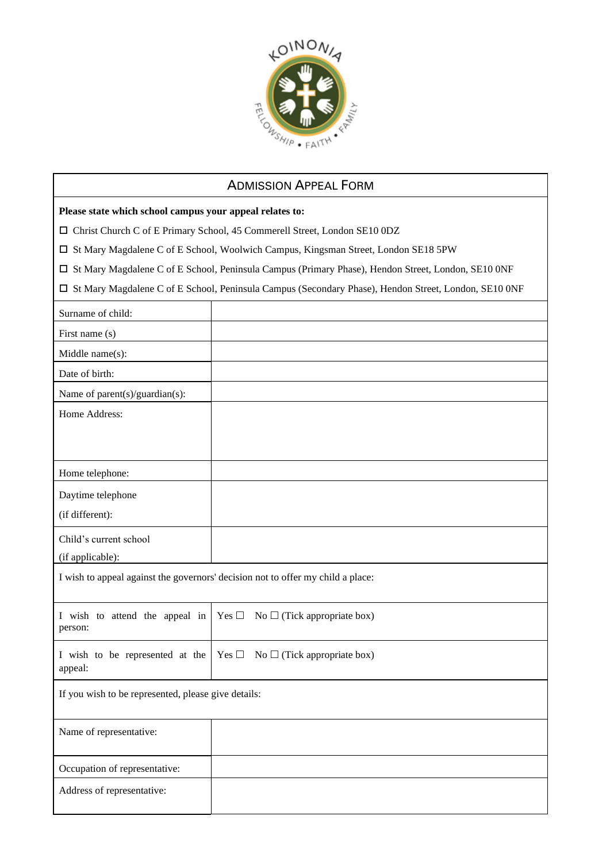

## ADMISSION APPEAL FORM

**Please state which school campus your appeal relates to:**

Christ Church C of E Primary School, 45 Commerell Street, London SE10 0DZ

St Mary Magdalene C of E School, Woolwich Campus, Kingsman Street, London SE18 5PW

St Mary Magdalene C of E School, Peninsula Campus (Primary Phase), Hendon Street, London, SE10 0NF

St Mary Magdalene C of E School, Peninsula Campus (Secondary Phase), Hendon Street, London, SE10 0NF

| Surname of child:                                                               |                                             |
|---------------------------------------------------------------------------------|---------------------------------------------|
| First name (s)                                                                  |                                             |
| Middle name(s):                                                                 |                                             |
| Date of birth:                                                                  |                                             |
| Name of parent(s)/guardian(s):                                                  |                                             |
| Home Address:                                                                   |                                             |
|                                                                                 |                                             |
|                                                                                 |                                             |
| Home telephone:                                                                 |                                             |
| Daytime telephone                                                               |                                             |
| (if different):                                                                 |                                             |
| Child's current school                                                          |                                             |
| (if applicable):                                                                |                                             |
| I wish to appeal against the governors' decision not to offer my child a place: |                                             |
|                                                                                 |                                             |
| I wish to attend the appeal in<br>person:                                       | Yes $\Box$ No $\Box$ (Tick appropriate box) |
|                                                                                 |                                             |
| I wish to be represented at the<br>appeal:                                      | Yes $\Box$ No $\Box$ (Tick appropriate box) |
| If you wish to be represented, please give details:                             |                                             |
|                                                                                 |                                             |
| Name of representative:                                                         |                                             |
|                                                                                 |                                             |
| Occupation of representative:                                                   |                                             |
| Address of representative:                                                      |                                             |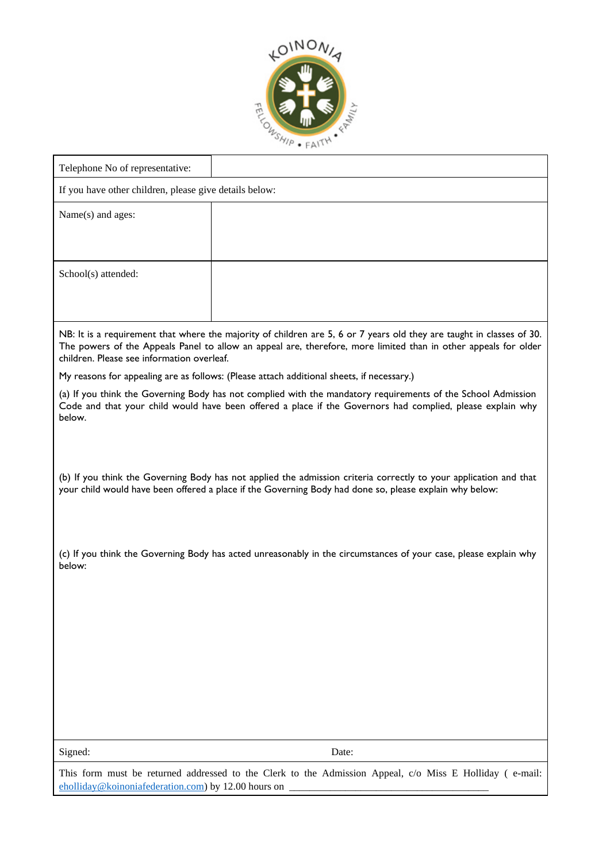

| Telephone No of representative:                                                                                                                                                                                                                                                        |                                                                                                         |  |
|----------------------------------------------------------------------------------------------------------------------------------------------------------------------------------------------------------------------------------------------------------------------------------------|---------------------------------------------------------------------------------------------------------|--|
| If you have other children, please give details below:                                                                                                                                                                                                                                 |                                                                                                         |  |
| Name(s) and ages:                                                                                                                                                                                                                                                                      |                                                                                                         |  |
|                                                                                                                                                                                                                                                                                        |                                                                                                         |  |
|                                                                                                                                                                                                                                                                                        |                                                                                                         |  |
| School(s) attended:                                                                                                                                                                                                                                                                    |                                                                                                         |  |
|                                                                                                                                                                                                                                                                                        |                                                                                                         |  |
|                                                                                                                                                                                                                                                                                        |                                                                                                         |  |
| NB: It is a requirement that where the majority of children are 5, 6 or 7 years old they are taught in classes of 30.<br>The powers of the Appeals Panel to allow an appeal are, therefore, more limited than in other appeals for older<br>children. Please see information overleaf. |                                                                                                         |  |
| My reasons for appealing are as follows: (Please attach additional sheets, if necessary.)                                                                                                                                                                                              |                                                                                                         |  |
| (a) If you think the Governing Body has not complied with the mandatory requirements of the School Admission<br>Code and that your child would have been offered a place if the Governors had complied, please explain why<br>below.                                                   |                                                                                                         |  |
|                                                                                                                                                                                                                                                                                        |                                                                                                         |  |
|                                                                                                                                                                                                                                                                                        |                                                                                                         |  |
| (b) If you think the Governing Body has not applied the admission criteria correctly to your application and that<br>your child would have been offered a place if the Governing Body had done so, please explain why below:                                                           |                                                                                                         |  |
|                                                                                                                                                                                                                                                                                        |                                                                                                         |  |
| (c) If you think the Governing Body has acted unreasonably in the circumstances of your case, please explain why<br>below:                                                                                                                                                             |                                                                                                         |  |
|                                                                                                                                                                                                                                                                                        |                                                                                                         |  |
|                                                                                                                                                                                                                                                                                        |                                                                                                         |  |
|                                                                                                                                                                                                                                                                                        |                                                                                                         |  |
|                                                                                                                                                                                                                                                                                        |                                                                                                         |  |
|                                                                                                                                                                                                                                                                                        |                                                                                                         |  |
|                                                                                                                                                                                                                                                                                        |                                                                                                         |  |
|                                                                                                                                                                                                                                                                                        |                                                                                                         |  |
| Signed:                                                                                                                                                                                                                                                                                | Date:                                                                                                   |  |
|                                                                                                                                                                                                                                                                                        | This form must be returned addressed to the Clerk to the Admission Appeal, c/o Miss E Holliday (e-mail: |  |

dmission Appeal, c/o Miss E Holliday ( [eholliday@koinoniafederation.com\)](mailto:eholliday@koinoniafederation.com) by 12.00 hours on